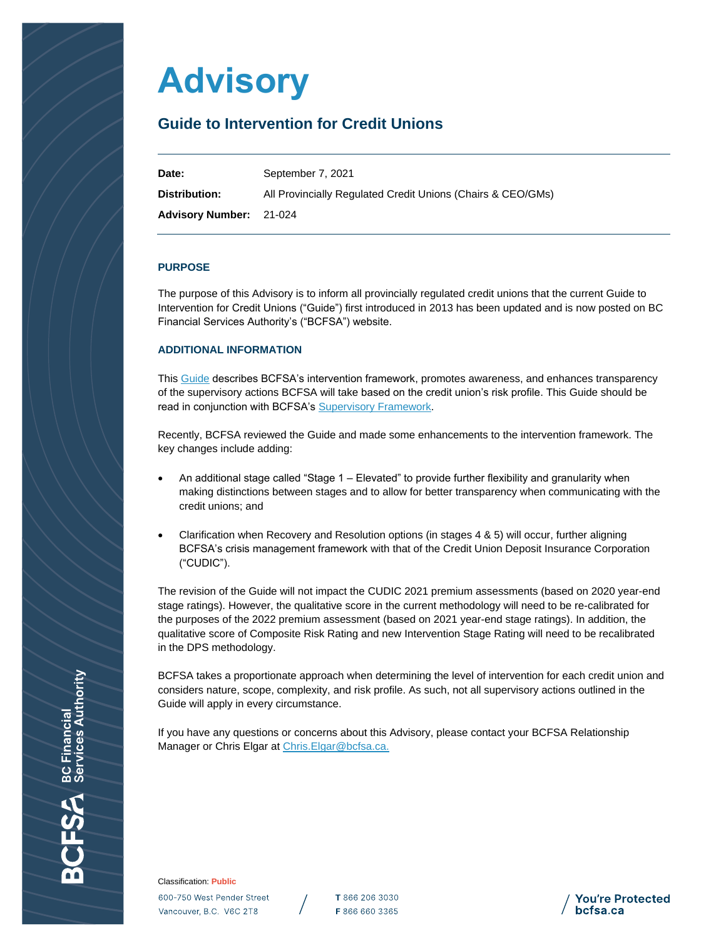### **Advisory**

#### **Guide to Intervention for Credit Unions**

**Date:** September 7, 2021 **Distribution:** All Provincially Regulated Credit Unions (Chairs & CEO/GMs) **Advisory Number:** 21-024

#### **PURPOSE**

The purpose of this Advisory is to inform all provincially regulated credit unions that the current Guide to Intervention for Credit Unions ("Guide") first introduced in 2013 has been updated and is now posted on BC Financial Services Authority's ("BCFSA") website.

#### **ADDITIONAL INFORMATION**

Thi[s Guide](https://www.bcfsa.ca/sites/default/files/documents/industrydocuments/bcfsaguide-interventionpdf.pdf) describes BCFSA's intervention framework, promotes awareness, and enhances transparency of the supervisory actions BCFSA will take based on the credit union's risk profile. This Guide should be read in conjunction with BCFSA's [Supervisory Framework.](https://www.bcfsa.ca/sites/default/files/documents/industrydocuments/bcfsasupervisory-framework-2021pdf.pdf)

Recently, BCFSA reviewed the Guide and made some enhancements to the intervention framework. The key changes include adding:

- An additional stage called "Stage 1 Elevated" to provide further flexibility and granularity when making distinctions between stages and to allow for better transparency when communicating with the credit unions; and
- Clarification when Recovery and Resolution options (in stages 4 & 5) will occur, further aligning BCFSA's crisis management framework with that of the Credit Union Deposit Insurance Corporation ("CUDIC").

The revision of the Guide will not impact the CUDIC 2021 premium assessments (based on 2020 year-end stage ratings). However, the qualitative score in the current methodology will need to be re-calibrated for the purposes of the 2022 premium assessment (based on 2021 year-end stage ratings). In addition, the qualitative score of Composite Risk Rating and new Intervention Stage Rating will need to be recalibrated in the DPS methodology.

BCFSA takes a proportionate approach when determining the level of intervention for each credit union and considers nature, scope, complexity, and risk profile. As such, not all supervisory actions outlined in the Guide will apply in every circumstance.

If you have any questions or concerns about this Advisory, please contact your BCFSA Relationship Manager or Chris Elgar a[t Chris.Elgar@bcfsa.ca.](mailto:Chris.Elgar@bcfsa.ca)

Classification: **Public** 600-750 West Pender Street Vancouver, B.C. V6C 2T8

T 866 206 3030 F 866 660 3365



**BC Financial<br>Services Authority**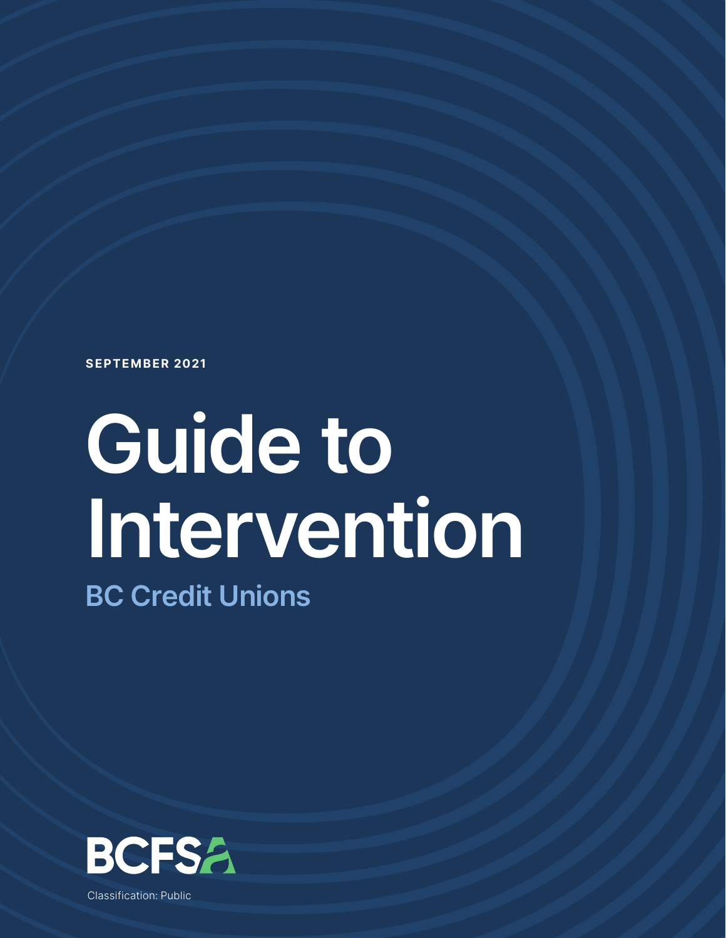SEPTEMBER 2021

# Guide to Intervention

BC Credit Unions



Classification: Public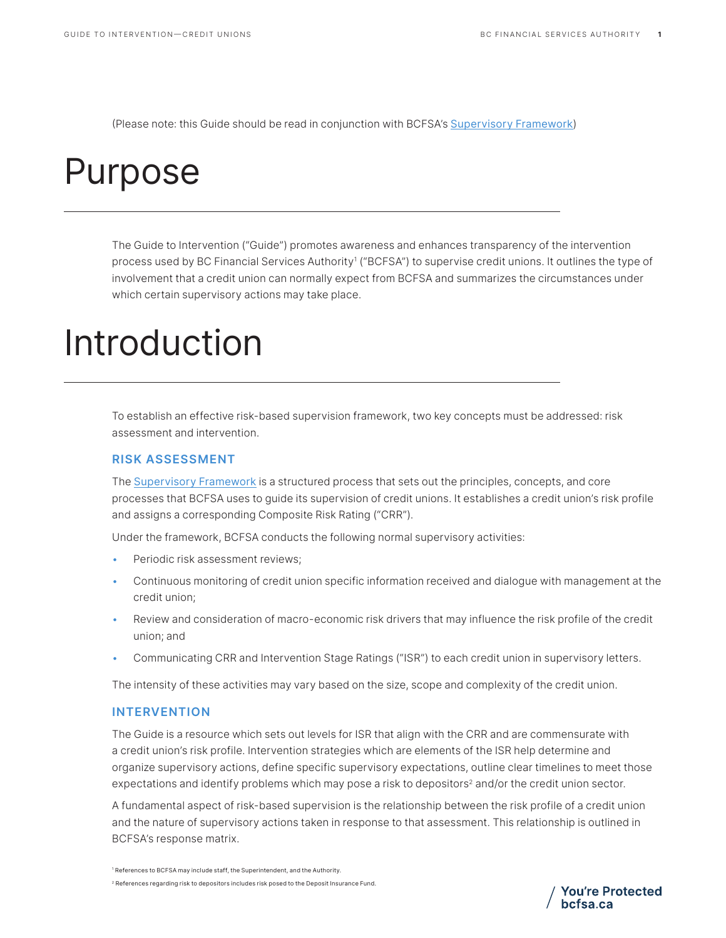**You're Protected** 

befsa.ca

(Please note: this Guide should be read in conjunction with BCFSA's Supervisory Framework)

### Purpose

The Guide to Intervention ("Guide") promotes awareness and enhances transparency of the intervention process used by BC Financial Services Authority<sup>1</sup> ("BCFSA") to supervise credit unions. It outlines the type of involvement that a credit union can normally expect from BCFSA and summarizes the circumstances under which certain supervisory actions may take place.

### Introduction

To establish an effective risk-based supervision framework, two key concepts must be addressed: risk assessment and intervention.

#### RISK ASSESSMENT

The **Supervisory Framework** is a structured process that sets out the principles, concepts, and core processes that BCFSA uses to guide its supervision of credit unions. It establishes a credit union's risk profile and assigns a corresponding Composite Risk Rating ("CRR").

Under the framework, BCFSA conducts the following normal supervisory activities:

- Periodic risk assessment reviews;
- Continuous monitoring of credit union specific information received and dialogue with management at the credit union;
- Review and consideration of macro-economic risk drivers that may influence the risk profile of the credit union; and
- Communicating CRR and Intervention Stage Ratings ("ISR") to each credit union in supervisory letters.

The intensity of these activities may vary based on the size, scope and complexity of the credit union.

#### INTERVENTION

The Guide is a resource which sets out levels for ISR that align with the CRR and are commensurate with a credit union's risk profile. Intervention strategies which are elements of the ISR help determine and organize supervisory actions, define specific supervisory expectations, outline clear timelines to meet those expectations and identify problems which may pose a risk to depositors<sup>2</sup> and/or the credit union sector.

A fundamental aspect of risk-based supervision is the relationship between the risk profile of a credit union and the nature of supervisory actions taken in response to that assessment. This relationship is outlined in BCFSA's response matrix.

1 References to BCFSA may include staff, the Superintendent, and the Authority.

2 References regarding risk to depositors includes risk posed to the Deposit Insurance Fund.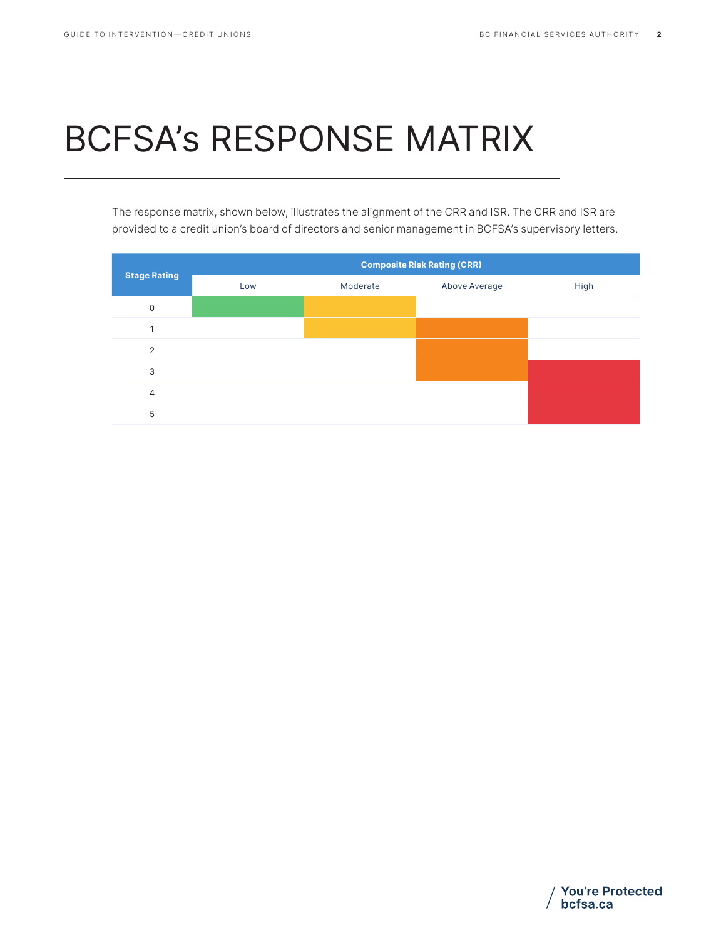### BCFSA's RESPONSE MATRIX

The response matrix, shown below, illustrates the alignment of the CRR and ISR. The CRR and ISR are provided to a credit union's board of directors and senior management in BCFSA's supervisory letters.

|                     | <b>Composite Risk Rating (CRR)</b> |          |               |      |
|---------------------|------------------------------------|----------|---------------|------|
| <b>Stage Rating</b> | Low                                | Moderate | Above Average | High |
| $\circ$             |                                    |          |               |      |
| 1                   |                                    |          |               |      |
| 2                   |                                    |          |               |      |
| 3                   |                                    |          |               |      |
| $\overline{4}$      |                                    |          |               |      |
| 5                   |                                    |          |               |      |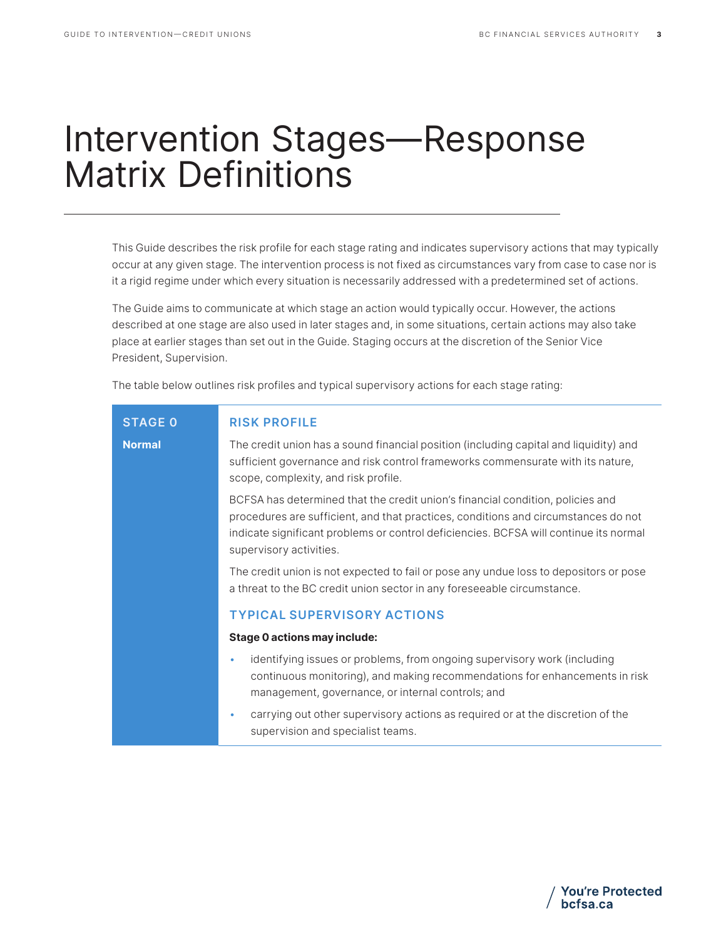### Intervention Stages—Response Matrix Definitions

This Guide describes the risk profile for each stage rating and indicates supervisory actions that may typically occur at any given stage. The intervention process is not fixed as circumstances vary from case to case nor is it a rigid regime under which every situation is necessarily addressed with a predetermined set of actions.

The Guide aims to communicate at which stage an action would typically occur. However, the actions described at one stage are also used in later stages and, in some situations, certain actions may also take place at earlier stages than set out in the Guide. Staging occurs at the discretion of the Senior Vice President, Supervision.

The table below outlines risk profiles and typical supervisory actions for each stage rating:

| <b>STAGE 0</b> | <b>RISK PROFILE</b>                                                                                                                                                                                                                                                                      |  |  |  |
|----------------|------------------------------------------------------------------------------------------------------------------------------------------------------------------------------------------------------------------------------------------------------------------------------------------|--|--|--|
| <b>Normal</b>  | The credit union has a sound financial position (including capital and liquidity) and<br>sufficient governance and risk control frameworks commensurate with its nature,<br>scope, complexity, and risk profile.                                                                         |  |  |  |
|                | BCFSA has determined that the credit union's financial condition, policies and<br>procedures are sufficient, and that practices, conditions and circumstances do not<br>indicate significant problems or control deficiencies. BCFSA will continue its normal<br>supervisory activities. |  |  |  |
|                | The credit union is not expected to fail or pose any undue loss to depositors or pose<br>a threat to the BC credit union sector in any foreseeable circumstance.                                                                                                                         |  |  |  |
|                | <b>TYPICAL SUPERVISORY ACTIONS</b>                                                                                                                                                                                                                                                       |  |  |  |
|                | <b>Stage 0 actions may include:</b>                                                                                                                                                                                                                                                      |  |  |  |
|                | identifying issues or problems, from ongoing supervisory work (including<br>۰<br>continuous monitoring), and making recommendations for enhancements in risk<br>management, governance, or internal controls; and                                                                        |  |  |  |
|                | carrying out other supervisory actions as required or at the discretion of the<br>۰<br>supervision and specialist teams.                                                                                                                                                                 |  |  |  |

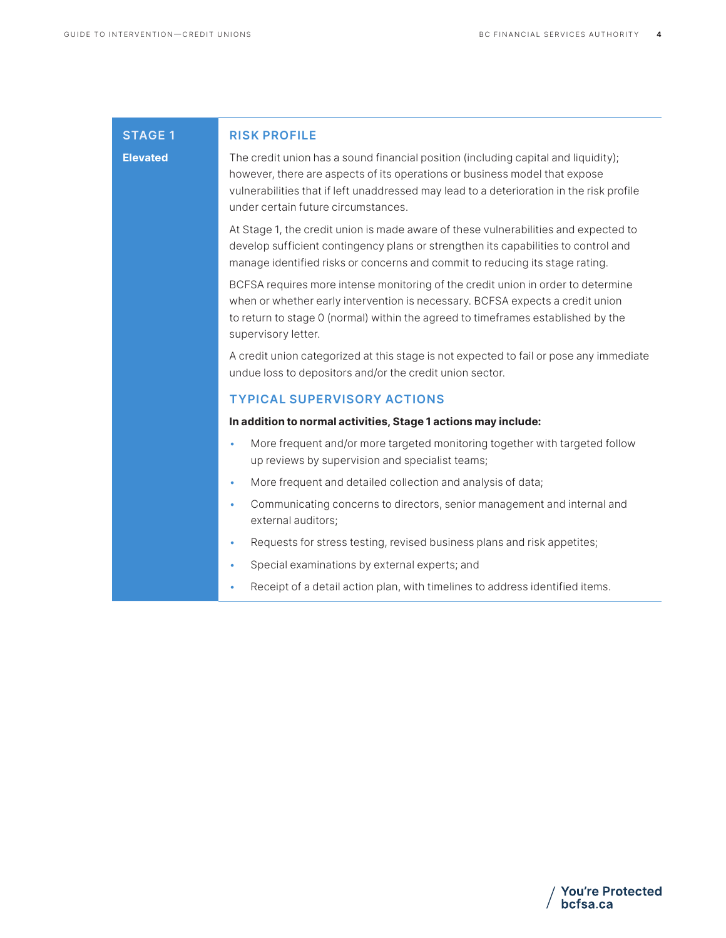#### STAGE 1 **Elevated**

#### RISK PROFILE

The credit union has a sound financial position (including capital and liquidity); however, there are aspects of its operations or business model that expose vulnerabilities that if left unaddressed may lead to a deterioration in the risk profile under certain future circumstances.

At Stage 1, the credit union is made aware of these vulnerabilities and expected to develop sufficient contingency plans or strengthen its capabilities to control and manage identified risks or concerns and commit to reducing its stage rating.

BCFSA requires more intense monitoring of the credit union in order to determine when or whether early intervention is necessary. BCFSA expects a credit union to return to stage 0 (normal) within the agreed to timeframes established by the supervisory letter.

A credit union categorized at this stage is not expected to fail or pose any immediate undue loss to depositors and/or the credit union sector.

#### TYPICAL SUPERVISORY ACTIONS

#### In addition to normal activities, Stage 1 actions may include:

- More frequent and/or more targeted monitoring together with targeted follow up reviews by supervision and specialist teams;
- More frequent and detailed collection and analysis of data;
- Communicating concerns to directors, senior management and internal and external auditors;
- Requests for stress testing, revised business plans and risk appetites;
- Special examinations by external experts; and
- Receipt of a detail action plan, with timelines to address identified items.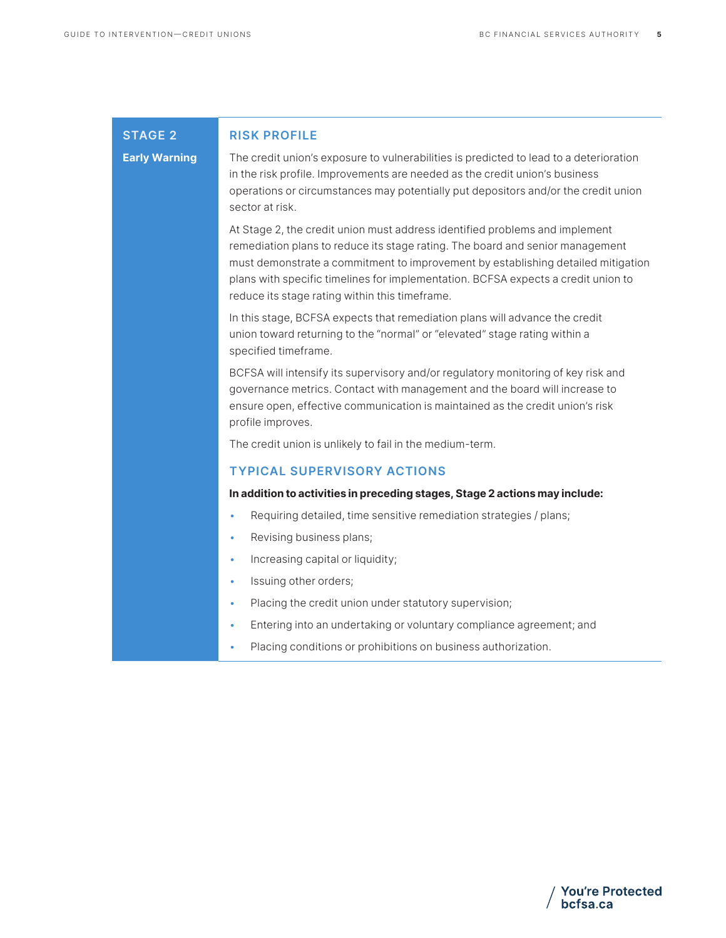#### STAGE 2

#### Early Warning

RISK PROFILE

The credit union's exposure to vulnerabilities is predicted to lead to a deterioration in the risk profile. Improvements are needed as the credit union's business operations or circumstances may potentially put depositors and/or the credit union sector at risk.

At Stage 2, the credit union must address identified problems and implement remediation plans to reduce its stage rating. The board and senior management must demonstrate a commitment to improvement by establishing detailed mitigation plans with specific timelines for implementation. BCFSA expects a credit union to reduce its stage rating within this timeframe.

In this stage, BCFSA expects that remediation plans will advance the credit union toward returning to the "normal" or "elevated" stage rating within a specified timeframe.

BCFSA will intensify its supervisory and/or regulatory monitoring of key risk and governance metrics. Contact with management and the board will increase to ensure open, effective communication is maintained as the credit union's risk profile improves.

The credit union is unlikely to fail in the medium-term.

#### TYPICAL SUPERVISORY ACTIONS

#### In addition to activities in preceding stages, Stage 2 actions may include:

- Requiring detailed, time sensitive remediation strategies / plans;
- Revising business plans;
- Increasing capital or liquidity;
- Issuing other orders;
- Placing the credit union under statutory supervision;
- Entering into an undertaking or voluntary compliance agreement; and
- Placing conditions or prohibitions on business authorization.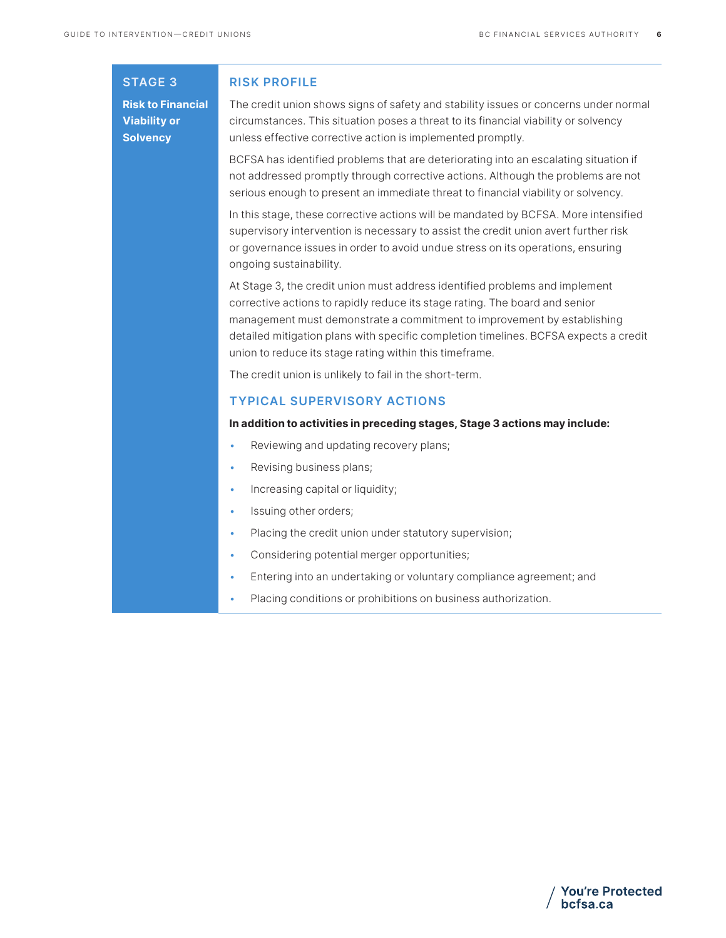#### STAGE 3

Risk to Financial Viability or **Solvency** 

#### RISK PROFILE

The credit union shows signs of safety and stability issues or concerns under normal circumstances. This situation poses a threat to its financial viability or solvency unless effective corrective action is implemented promptly.

BCFSA has identified problems that are deteriorating into an escalating situation if not addressed promptly through corrective actions. Although the problems are not serious enough to present an immediate threat to financial viability or solvency.

In this stage, these corrective actions will be mandated by BCFSA. More intensified supervisory intervention is necessary to assist the credit union avert further risk or governance issues in order to avoid undue stress on its operations, ensuring ongoing sustainability.

At Stage 3, the credit union must address identified problems and implement corrective actions to rapidly reduce its stage rating. The board and senior management must demonstrate a commitment to improvement by establishing detailed mitigation plans with specific completion timelines. BCFSA expects a credit union to reduce its stage rating within this timeframe.

The credit union is unlikely to fail in the short-term.

#### TYPICAL SUPERVISORY ACTIONS

#### In addition to activities in preceding stages, Stage 3 actions may include:

- Reviewing and updating recovery plans;
- Revising business plans;
- Increasing capital or liquidity;
- Issuing other orders;
- Placing the credit union under statutory supervision;
- Considering potential merger opportunities;
- Entering into an undertaking or voluntary compliance agreement; and
- Placing conditions or prohibitions on business authorization.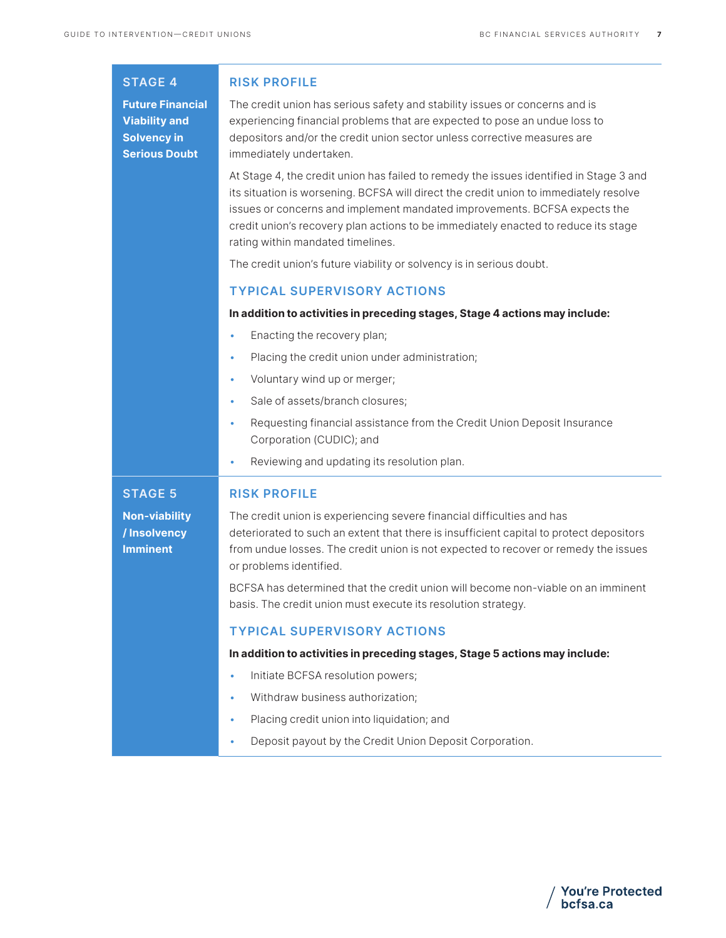#### STAGE 4

Future Financial Viability and Solvency in Serious Doubt

#### RISK PROFILE

The credit union has serious safety and stability issues or concerns and is experiencing financial problems that are expected to pose an undue loss to depositors and/or the credit union sector unless corrective measures are immediately undertaken.

At Stage 4, the credit union has failed to remedy the issues identified in Stage 3 and its situation is worsening. BCFSA will direct the credit union to immediately resolve issues or concerns and implement mandated improvements. BCFSA expects the credit union's recovery plan actions to be immediately enacted to reduce its stage rating within mandated timelines.

The credit union's future viability or solvency is in serious doubt.

#### TYPICAL SUPERVISORY ACTIONS

#### In addition to activities in preceding stages, Stage 4 actions may include:

- Enacting the recovery plan;
- Placing the credit union under administration;
- Voluntary wind up or merger;
- Sale of assets/branch closures;
- Requesting financial assistance from the Credit Union Deposit Insurance Corporation (CUDIC); and
- Reviewing and updating its resolution plan.

#### STAGE 5

Non-viability / Insolvency Imminent

RISK PROFILE

The credit union is experiencing severe financial difficulties and has deteriorated to such an extent that there is insufficient capital to protect depositors from undue losses. The credit union is not expected to recover or remedy the issues or problems identified.

BCFSA has determined that the credit union will become non-viable on an imminent basis. The credit union must execute its resolution strategy.

#### TYPICAL SUPERVISORY ACTIONS

#### In addition to activities in preceding stages, Stage 5 actions may include:

- Initiate BCFSA resolution powers;
- Withdraw business authorization;
- Placing credit union into liquidation; and
- Deposit payout by the Credit Union Deposit Corporation.